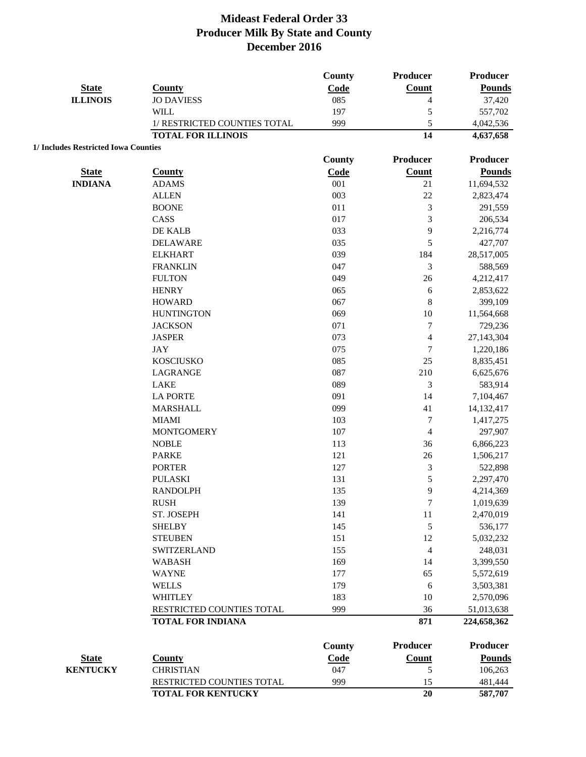|                                      |                              | <b>County</b> | Producer        | Producer      |
|--------------------------------------|------------------------------|---------------|-----------------|---------------|
| <b>State</b>                         | <b>County</b>                | Code          | <b>Count</b>    | <b>Pounds</b> |
| <b>ILLINOIS</b>                      | <b>JO DAVIESS</b>            | 085           | $\overline{4}$  | 37,420        |
|                                      | <b>WILL</b>                  | 197           | 5               | 557,702       |
|                                      | 1/ RESTRICTED COUNTIES TOTAL | 999           | 5               | 4,042,536     |
|                                      | <b>TOTAL FOR ILLINOIS</b>    |               | 14              | 4,637,658     |
| 1/ Includes Restricted Iowa Counties |                              |               |                 |               |
|                                      |                              | <b>County</b> | Producer        | Producer      |
| <b>State</b>                         | <b>County</b>                | Code          | Count           | <b>Pounds</b> |
| <b>INDIANA</b>                       | <b>ADAMS</b>                 | 001           | 21              | 11,694,532    |
|                                      | <b>ALLEN</b>                 | 003           | 22              | 2,823,474     |
|                                      | <b>BOONE</b>                 | 011           | $\mathfrak{Z}$  | 291,559       |
|                                      | CASS                         | 017           | 3               | 206,534       |
|                                      | DE KALB                      | 033           | 9               | 2,216,774     |
|                                      | <b>DELAWARE</b>              | 035           | 5               | 427,707       |
|                                      | <b>ELKHART</b>               | 039           | 184             | 28,517,005    |
|                                      | <b>FRANKLIN</b>              | 047           | 3               | 588,569       |
|                                      | <b>FULTON</b>                | 049           | 26              | 4,212,417     |
|                                      | <b>HENRY</b>                 | 065           | 6               | 2,853,622     |
|                                      | <b>HOWARD</b>                | 067           | 8               | 399,109       |
|                                      | <b>HUNTINGTON</b>            | 069           | $10\,$          | 11,564,668    |
|                                      | <b>JACKSON</b>               | 071           | $\tau$          | 729,236       |
|                                      | <b>JASPER</b>                | 073           | $\overline{4}$  | 27,143,304    |
|                                      | <b>JAY</b>                   | 075           | $\tau$          | 1,220,186     |
|                                      | <b>KOSCIUSKO</b>             | 085           | 25              | 8,835,451     |
|                                      | LAGRANGE                     | 087           | 210             | 6,625,676     |
|                                      | <b>LAKE</b>                  | 089           | 3               | 583,914       |
|                                      | <b>LA PORTE</b>              | 091           | 14              | 7,104,467     |
|                                      | <b>MARSHALL</b>              | 099           | 41              | 14,132,417    |
|                                      | <b>MIAMI</b>                 | 103           | $\tau$          | 1,417,275     |
|                                      | <b>MONTGOMERY</b>            | 107           | $\overline{4}$  | 297,907       |
|                                      | <b>NOBLE</b>                 | 113           | 36              | 6,866,223     |
|                                      | <b>PARKE</b>                 | 121           | 26              | 1,506,217     |
|                                      | <b>PORTER</b>                | 127           | $\mathfrak{Z}$  | 522,898       |
|                                      | <b>PULASKI</b>               | 131           | 5               | 2,297,470     |
|                                      | <b>RANDOLPH</b>              | 135           | 9               | 4,214,369     |
|                                      | <b>RUSH</b>                  | 139           | $\tau$          | 1,019,639     |
|                                      | ST. JOSEPH                   | 141           | 11              | 2,470,019     |
|                                      | <b>SHELBY</b>                | 145           | 5               | 536,177       |
|                                      | <b>STEUBEN</b>               | 151           | 12              | 5,032,232     |
|                                      | SWITZERLAND                  | 155           | $\overline{4}$  | 248,031       |
|                                      | <b>WABASH</b>                | 169           | 14              | 3,399,550     |
|                                      | <b>WAYNE</b>                 | 177           | 65              | 5,572,619     |
|                                      | <b>WELLS</b>                 | 179           | 6               | 3,503,381     |
|                                      | <b>WHITLEY</b>               | 183           | 10              | 2,570,096     |
|                                      | RESTRICTED COUNTIES TOTAL    | 999           | 36              | 51,013,638    |
|                                      | <b>TOTAL FOR INDIANA</b>     |               | 871             | 224,658,362   |
|                                      |                              |               |                 |               |
|                                      |                              | <b>County</b> | <b>Producer</b> | Producer      |
| <b>State</b>                         | <b>County</b>                | Code          | <b>Count</b>    | <b>Pounds</b> |
| <b>KENTUCKY</b>                      | <b>CHRISTIAN</b>             | 047           | 5               | 106,263       |
|                                      | RESTRICTED COUNTIES TOTAL    | 999           | 15              | 481,444       |
|                                      | <b>TOTAL FOR KENTUCKY</b>    |               | 20              | 587,707       |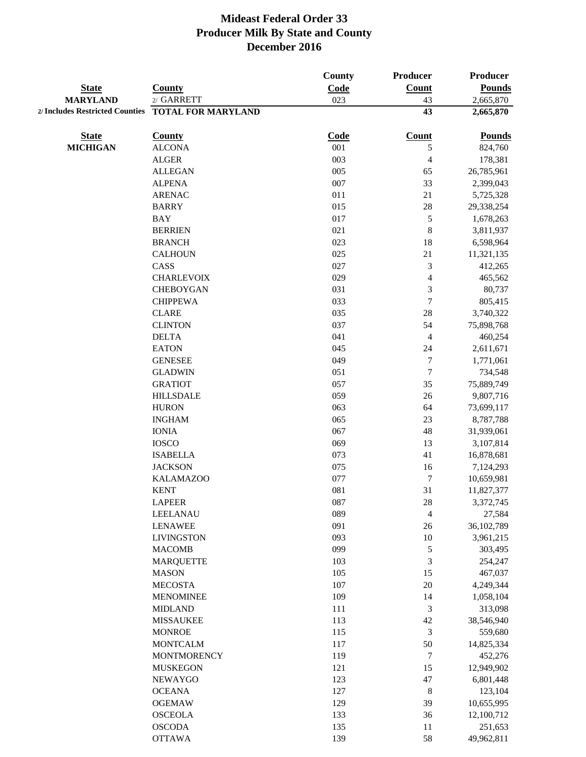|                                 |                           | County | Producer                 | <b>Producer</b> |
|---------------------------------|---------------------------|--------|--------------------------|-----------------|
| <b>State</b>                    | <b>County</b>             | Code   | <b>Count</b>             | <b>Pounds</b>   |
| <b>MARYLAND</b>                 | 2/ GARRETT                | 023    | 43                       | 2,665,870       |
| 2/ Includes Restricted Counties | <b>TOTAL FOR MARYLAND</b> |        | 43                       | 2,665,870       |
| <b>State</b>                    | <b>County</b>             | Code   | <b>Count</b>             | <b>Pounds</b>   |
| <b>MICHIGAN</b>                 | <b>ALCONA</b>             | 001    | 5                        | 824,760         |
|                                 | <b>ALGER</b>              | 003    | 4                        | 178,381         |
|                                 | <b>ALLEGAN</b>            | 005    | 65                       | 26,785,961      |
|                                 | <b>ALPENA</b>             | 007    | 33                       | 2,399,043       |
|                                 | <b>ARENAC</b>             | 011    | 21                       | 5,725,328       |
|                                 | <b>BARRY</b>              | 015    | 28                       | 29,338,254      |
|                                 | <b>BAY</b>                | 017    | 5                        | 1,678,263       |
|                                 | <b>BERRIEN</b>            | 021    | $\,$ 8 $\,$              | 3,811,937       |
|                                 | <b>BRANCH</b>             | 023    | 18                       | 6,598,964       |
|                                 | <b>CALHOUN</b>            | 025    | 21                       | 11,321,135      |
|                                 | CASS                      | 027    | $\mathfrak{Z}$           | 412,265         |
|                                 | <b>CHARLEVOIX</b>         | 029    | $\overline{\mathbf{4}}$  | 465,562         |
|                                 | <b>CHEBOYGAN</b>          | 031    | $\mathfrak{Z}$           | 80,737          |
|                                 | <b>CHIPPEWA</b>           | 033    | $\boldsymbol{7}$         | 805,415         |
|                                 | <b>CLARE</b>              | 035    | 28                       | 3,740,322       |
|                                 | <b>CLINTON</b>            | 037    | 54                       | 75,898,768      |
|                                 | <b>DELTA</b>              | 041    | $\overline{4}$           | 460,254         |
|                                 | <b>EATON</b>              | 045    | 24                       | 2,611,671       |
|                                 | <b>GENESEE</b>            | 049    | $\boldsymbol{7}$         | 1,771,061       |
|                                 | <b>GLADWIN</b>            | 051    | $\tau$                   | 734,548         |
|                                 | <b>GRATIOT</b>            | 057    | 35                       | 75,889,749      |
|                                 | <b>HILLSDALE</b>          | 059    | 26                       | 9,807,716       |
|                                 | <b>HURON</b>              | 063    | 64                       | 73,699,117      |
|                                 | <b>INGHAM</b>             | 065    | 23                       | 8,787,788       |
|                                 | <b>IONIA</b>              | 067    | 48                       | 31,939,061      |
|                                 | <b>IOSCO</b>              | 069    | 13                       | 3,107,814       |
|                                 | <b>ISABELLA</b>           | 073    | 41                       | 16,878,681      |
|                                 | <b>JACKSON</b>            | 075    | 16                       | 7,124,293       |
|                                 | <b>KALAMAZOO</b>          | 077    | $\boldsymbol{7}$         | 10,659,981      |
|                                 | <b>KENT</b>               | 081    | 31                       | 11,827,377      |
|                                 | <b>LAPEER</b>             | 087    | 28                       | 3,372,745       |
|                                 | LEELANAU                  | 089    | $\overline{\mathcal{L}}$ | 27,584          |
|                                 | <b>LENAWEE</b>            | 091    | 26                       | 36,102,789      |
|                                 | <b>LIVINGSTON</b>         | 093    | $10\,$                   | 3,961,215       |
|                                 | <b>MACOMB</b>             | 099    | $\mathfrak s$            | 303,495         |
|                                 | <b>MARQUETTE</b>          | 103    | $\mathfrak{Z}$           | 254,247         |
|                                 | <b>MASON</b>              | 105    | 15                       | 467,037         |
|                                 | <b>MECOSTA</b>            | 107    | 20                       | 4,249,344       |
|                                 | <b>MENOMINEE</b>          | 109    | 14                       | 1,058,104       |
|                                 | <b>MIDLAND</b>            | 111    | $\mathfrak{Z}$           | 313,098         |
|                                 | <b>MISSAUKEE</b>          | 113    | 42                       | 38,546,940      |
|                                 | <b>MONROE</b>             | 115    | $\mathfrak{Z}$           | 559,680         |
|                                 | <b>MONTCALM</b>           | 117    | 50                       | 14,825,334      |
|                                 | <b>MONTMORENCY</b>        | 119    | $\tau$                   | 452,276         |
|                                 | <b>MUSKEGON</b>           | 121    | 15                       | 12,949,902      |
|                                 | <b>NEWAYGO</b>            | 123    | 47                       | 6,801,448       |
|                                 | <b>OCEANA</b>             | 127    | $\,8\,$                  | 123,104         |
|                                 | <b>OGEMAW</b>             | 129    | 39                       | 10,655,995      |
|                                 | <b>OSCEOLA</b>            | 133    | 36                       | 12,100,712      |
|                                 | <b>OSCODA</b>             | 135    | 11                       | 251,653         |
|                                 | <b>OTTAWA</b>             | 139    | 58                       | 49,962,811      |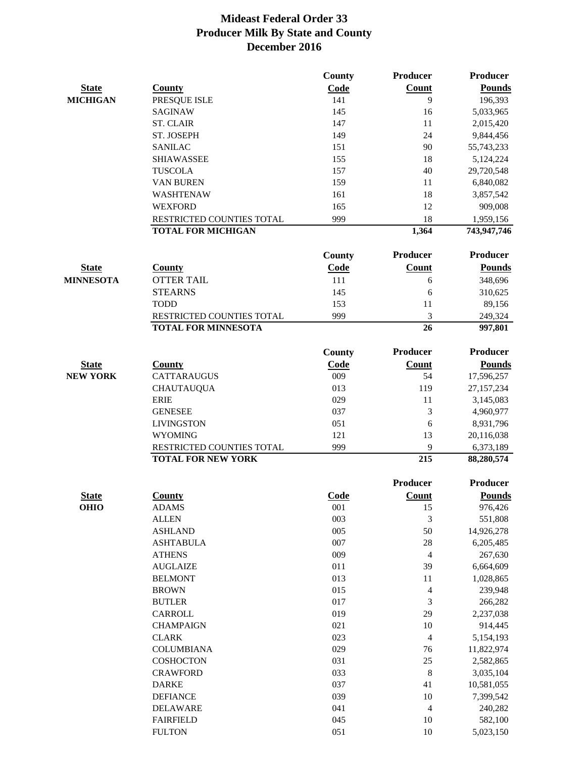|                  |                            | County        | <b>Producer</b> | <b>Producer</b> |
|------------------|----------------------------|---------------|-----------------|-----------------|
| <b>State</b>     | <b>County</b>              | Code          | Count           | <b>Pounds</b>   |
| <b>MICHIGAN</b>  | PRESQUE ISLE               | 141           | 9               | 196,393         |
|                  | <b>SAGINAW</b>             | 145           | 16              | 5,033,965       |
|                  | <b>ST. CLAIR</b>           | 147           | 11              | 2,015,420       |
|                  | ST. JOSEPH                 | 149           | 24              | 9,844,456       |
|                  | <b>SANILAC</b>             | 151           | 90              | 55,743,233      |
|                  | <b>SHIAWASSEE</b>          | 155           | 18              | 5,124,224       |
|                  | <b>TUSCOLA</b>             | 157           | 40              | 29,720,548      |
|                  | <b>VAN BUREN</b>           | 159           | 11              | 6,840,082       |
|                  | WASHTENAW                  | 161           | 18              | 3,857,542       |
|                  | <b>WEXFORD</b>             | 165           | 12              | 909,008         |
|                  | RESTRICTED COUNTIES TOTAL  | 999           | 18              | 1,959,156       |
|                  | <b>TOTAL FOR MICHIGAN</b>  |               | 1,364           | 743,947,746     |
|                  |                            |               |                 |                 |
|                  |                            | <b>County</b> | <b>Producer</b> | <b>Producer</b> |
| <b>State</b>     | <b>County</b>              | Code          | Count           | <b>Pounds</b>   |
| <b>MINNESOTA</b> | <b>OTTER TAIL</b>          | 111           | 6               | 348,696         |
|                  | <b>STEARNS</b>             | 145           | 6               | 310,625         |
|                  | <b>TODD</b>                | 153           | 11              | 89,156          |
|                  | RESTRICTED COUNTIES TOTAL  | 999           | 3               | 249,324         |
|                  | <b>TOTAL FOR MINNESOTA</b> |               | 26              | 997,801         |
|                  |                            |               |                 |                 |
|                  |                            | County        | <b>Producer</b> | <b>Producer</b> |
| <b>State</b>     | <b>County</b>              | Code          | Count           | <b>Pounds</b>   |
| <b>NEW YORK</b>  | CATTARAUGUS                | 009           | 54              | 17,596,257      |
|                  | <b>CHAUTAUQUA</b>          | 013           | 119             | 27,157,234      |
|                  | <b>ERIE</b>                | 029           | 11              | 3,145,083       |
|                  | <b>GENESEE</b>             | 037           | $\mathfrak{Z}$  | 4,960,977       |
|                  | <b>LIVINGSTON</b>          | 051           | 6               | 8,931,796       |
|                  | <b>WYOMING</b>             | 121           | 13              | 20,116,038      |
|                  | RESTRICTED COUNTIES TOTAL  | 999           | 9               | 6,373,189       |
|                  | <b>TOTAL FOR NEW YORK</b>  |               | 215             | 88,280,574      |
|                  |                            |               | <b>Producer</b> | <b>Producer</b> |
| <b>State</b>     | <b>County</b>              | Code          | Count           | <b>Pounds</b>   |
| <b>OHIO</b>      | <b>ADAMS</b>               | 001           | 15              | 976,426         |
|                  | <b>ALLEN</b>               | 003           | 3               | 551,808         |
|                  | <b>ASHLAND</b>             | 005           | 50              | 14,926,278      |
|                  | <b>ASHTABULA</b>           | 007           | 28              | 6,205,485       |
|                  | <b>ATHENS</b>              | 009           | $\overline{4}$  | 267,630         |
|                  | <b>AUGLAIZE</b>            | 011           | 39              | 6,664,609       |
|                  | <b>BELMONT</b>             | 013           | 11              | 1,028,865       |
|                  |                            | 015           |                 |                 |
|                  | <b>BROWN</b>               | 017           | $\overline{4}$  | 239,948         |
|                  | <b>BUTLER</b>              |               | $\mathfrak{Z}$  | 266,282         |
|                  | CARROLL                    | 019           | 29              | 2,237,038       |
|                  | <b>CHAMPAIGN</b>           | 021           | 10              | 914,445         |
|                  | <b>CLARK</b>               | 023           | $\overline{4}$  | 5,154,193       |
|                  | <b>COLUMBIANA</b>          | 029           | 76              | 11,822,974      |
|                  | COSHOCTON                  | 031           | $25\,$          | 2,582,865       |
|                  | <b>CRAWFORD</b>            | 033           | $\,8\,$         | 3,035,104       |
|                  | <b>DARKE</b>               | 037           | 41              | 10,581,055      |
|                  | <b>DEFIANCE</b>            | 039           | 10              | 7,399,542       |
|                  | <b>DELAWARE</b>            | 041           | $\overline{4}$  | 240,282         |
|                  | <b>FAIRFIELD</b>           | 045           | 10              | 582,100         |
|                  | <b>FULTON</b>              | 051           | 10              | 5,023,150       |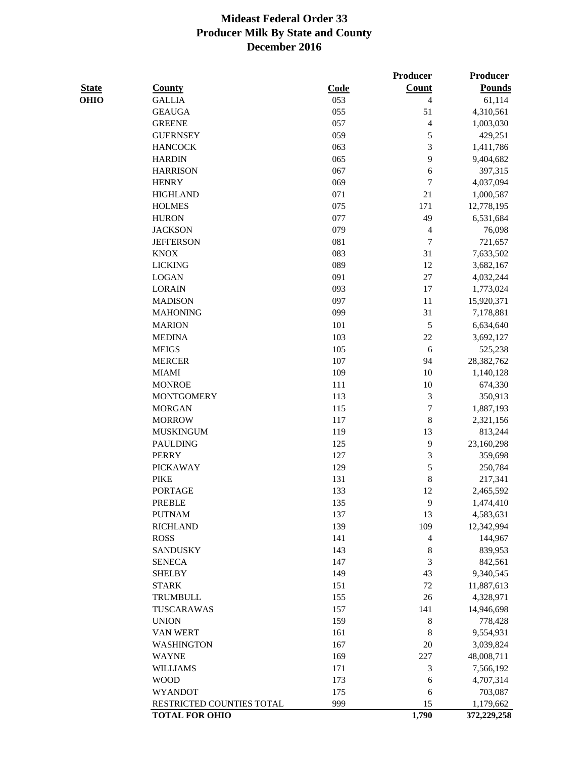**Producer Producer** 

| <b>State</b> | <b>County</b>             | Code | <b>Count</b>   | <b>Pounds</b> |
|--------------|---------------------------|------|----------------|---------------|
| OHIO         | <b>GALLIA</b>             | 053  | $\overline{4}$ | 61,114        |
|              | <b>GEAUGA</b>             | 055  | 51             | 4,310,561     |
|              | <b>GREENE</b>             | 057  | 4              | 1,003,030     |
|              | <b>GUERNSEY</b>           | 059  | 5              | 429,251       |
|              | <b>HANCOCK</b>            | 063  | $\sqrt{3}$     | 1,411,786     |
|              | <b>HARDIN</b>             | 065  | 9              | 9,404,682     |
|              | <b>HARRISON</b>           | 067  | 6              | 397,315       |
|              | <b>HENRY</b>              | 069  | 7              | 4,037,094     |
|              | <b>HIGHLAND</b>           | 071  | 21             | 1,000,587     |
|              | <b>HOLMES</b>             | 075  | 171            | 12,778,195    |
|              | <b>HURON</b>              | 077  | 49             | 6,531,684     |
|              | <b>JACKSON</b>            | 079  | $\overline{4}$ | 76,098        |
|              | <b>JEFFERSON</b>          | 081  | $\overline{7}$ | 721,657       |
|              | <b>KNOX</b>               | 083  | 31             | 7,633,502     |
|              | <b>LICKING</b>            | 089  | 12             | 3,682,167     |
|              | <b>LOGAN</b>              | 091  | $27\,$         | 4,032,244     |
|              | <b>LORAIN</b>             | 093  | 17             | 1,773,024     |
|              | <b>MADISON</b>            | 097  | 11             | 15,920,371    |
|              | <b>MAHONING</b>           | 099  | 31             | 7,178,881     |
|              | <b>MARION</b>             | 101  | 5              | 6,634,640     |
|              | <b>MEDINA</b>             | 103  | 22             | 3,692,127     |
|              | <b>MEIGS</b>              | 105  | 6              | 525,238       |
|              | <b>MERCER</b>             | 107  | 94             | 28,382,762    |
|              | <b>MIAMI</b>              | 109  | 10             | 1,140,128     |
|              | <b>MONROE</b>             | 111  | 10             | 674,330       |
|              | <b>MONTGOMERY</b>         | 113  | $\sqrt{3}$     | 350,913       |
|              | <b>MORGAN</b>             | 115  | 7              | 1,887,193     |
|              | <b>MORROW</b>             | 117  | $\,$ 8 $\,$    | 2,321,156     |
|              | <b>MUSKINGUM</b>          | 119  | 13             | 813,244       |
|              | <b>PAULDING</b>           | 125  | 9              | 23,160,298    |
|              | <b>PERRY</b>              | 127  | $\sqrt{3}$     | 359,698       |
|              | <b>PICKAWAY</b>           | 129  | 5              | 250,784       |
|              | <b>PIKE</b>               | 131  | $\,$ 8 $\,$    | 217,341       |
|              | <b>PORTAGE</b>            | 133  | 12             | 2,465,592     |
|              | <b>PREBLE</b>             | 135  | 9              | 1,474,410     |
|              | <b>PUTNAM</b>             | 137  | 13             | 4,583,631     |
|              | <b>RICHLAND</b>           | 139  | 109            | 12,342,994    |
|              | <b>ROSS</b>               | 141  | $\overline{4}$ | 144,967       |
|              | <b>SANDUSKY</b>           | 143  | $\,8\,$        | 839,953       |
|              | <b>SENECA</b>             | 147  | 3              | 842,561       |
|              | <b>SHELBY</b>             | 149  | 43             | 9,340,545     |
|              | <b>STARK</b>              | 151  | 72             | 11,887,613    |
|              | TRUMBULL                  | 155  | 26             | 4,328,971     |
|              | TUSCARAWAS                | 157  | 141            | 14,946,698    |
|              | <b>UNION</b>              | 159  | 8              | 778,428       |
|              | VAN WERT                  | 161  | 8              | 9,554,931     |
|              | <b>WASHINGTON</b>         | 167  | 20             | 3,039,824     |
|              | <b>WAYNE</b>              | 169  | 227            | 48,008,711    |
|              | <b>WILLIAMS</b>           | 171  | $\mathfrak{Z}$ | 7,566,192     |
|              | <b>WOOD</b>               | 173  | 6              | 4,707,314     |
|              | <b>WYANDOT</b>            | 175  | 6              | 703,087       |
|              | RESTRICTED COUNTIES TOTAL | 999  | 15             | 1,179,662     |
|              | <b>TOTAL FOR OHIO</b>     |      | 1,790          | 372,229,258   |